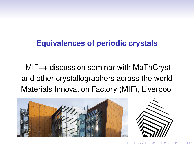#### <span id="page-0-0"></span>**Equivalences of periodic crystals**

MIF++ discussion seminar with MaThCryst and other crystallographers across the world Materials Innovation Factory (MIF), Liverpool



 $\leftarrow$   $\Box$   $\rightarrow$   $\leftarrow$   $\Box$   $\rightarrow$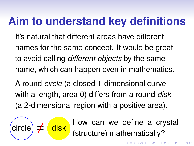# **Aim to understand key definitions**

It's natural that different areas have different names for the same concept. It would be great to avoid calling *different objects* by the same name, which can happen even in mathematics.

A round *circle* (a closed 1-dimensional curve with a length, area 0) differs from a round *disk* (a 2-dimensional region with a positive area).



How can we define a crystal (structure) mathematically?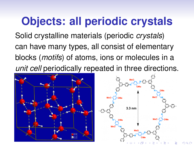# <span id="page-2-0"></span>**Objects: all periodic crystals**

Solid crystalline materials (periodic *crystals*) can have many types, all consist of elementary blocks (*motifs*) of atoms, ions or molecules in a *unit cell* periodically repeated in three directions.



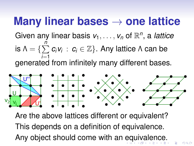#### <span id="page-3-0"></span>**Many linear bases** → **one lattice**

#### Given any linear basis  $v_1, \ldots, v_n$  of  $\mathbb{R}^n$ , a *lattice* is  $\Lambda = \{\sum$ *n i*=1  $c_i v_i : c_i \in \mathbb{Z}$ . Any lattice Λ can be generated from infinitely many different bases.



Are the above lattices different or equivalent? This depends on a definition of equivalence. Any object should come with an [e](#page-2-0)[qu](#page-4-0)[i](#page-2-0)[v](#page-3-0)[a](#page-4-0)[le](#page-0-0)[n](#page-15-0)[ce](#page-0-0)[.](#page-15-0)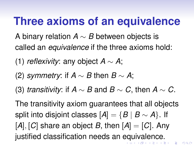#### <span id="page-4-0"></span>**Three axioms of an equivalence**

- A binary relation *A* ∼ *B* between objects is called an *equivalence* if the three axioms hold:
- (1) *reflexivity*: any object *A* ∼ *A*;
- (2) *symmetry*: if *A* ∼ *B* then *B* ∼ *A*;
- (3) *transitivity*: if *A* ∼ *B* and *B* ∼ *C*, then *A* ∼ *C*.

The transitivity axiom guarantees that all objects split into disjoint classes  $[A] = \{B \mid B \sim A\}$ . If  $[A], [C]$  share an object *B*, then  $[A] = [C]$ . Any justified classification needs an [eq](#page-3-0)[ui](#page-5-0)[v](#page-3-0)[a](#page-4-0)[l](#page-5-0)[en](#page-0-0)[c](#page-15-0)[e.](#page-0-0)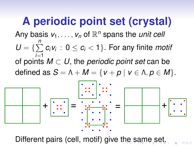# <span id="page-5-0"></span>**A periodic point set (crystal)**

Any basis  $v_1, \ldots, v_n$  of  $\mathbb{R}^n$  spans the *unit cell* 

 $U = \{\sum$ *n i*=1  $c_i v_i: 0 \leq c_i < 1$ . For any finite *motif* 

of points *M* ⊂ *U*, the *periodic point set* can be defined as  $S = \Lambda + M = \{v + p \mid v \in \Lambda, p \in M\}.$ 



Different pairs (cell, motif) give t[he](#page-4-0) [s](#page-6-0)[a](#page-4-0)[m](#page-5-0)[e](#page-0-0) [s](#page-15-0)[et](#page-0-0)[.](#page-15-0)

 $\Omega$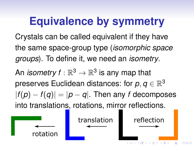# <span id="page-6-0"></span>**Equivalence by symmetry**

Crystals can be called equivalent if they have the same space-group type (*isomorphic space groups*). To define it, we need an *isometry*.

An *isometry f* :  $\mathbb{R}^3 \to \mathbb{R}^3$  is any map that preserves Euclidean distances: for  $\bm{\rho}, \bm{q} \in \mathbb{R}^3$  $|f(p) - f(q)| = |p - q|$ . Then any *f* decomposes into translations, rotations, mirror reflections.

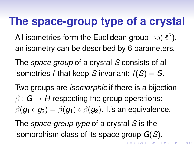#### **The space-group type of a crystal**

All isometries form the Euclidean group  $\mathrm{Iso}(\mathbb{R}^3),$ an isometry can be described by 6 parameters.

The *space group* of a crystal *S* consists of all isometries *f* that keep *S* invariant: *f*(*S*) = *S*.

Two groups are *isomorphic* if there is a bijection  $\beta: G \to H$  respecting the group operations:  $\beta(\mathbf{g}_1 \circ \mathbf{g}_2) = \beta(\mathbf{g}_1) \circ \beta(\mathbf{g}_2)$ . It's an equivalence.

KO K KØ K K E K K E K V R K K K K K K K K K

The *space-group type* of a crystal *S* is the isomorphism class of its space group *G*(*S*).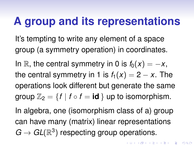#### **A group and its representations**

It's tempting to write any element of a space group (a symmetry operation) in coordinates.

In R, the central symmetry in 0 is  $f_0(x) = -x$ , the central symmetry in 1 is  $f_1(x) = 2 - x$ . The operations look different but generate the same group  $\mathbb{Z}_2 = \{f \mid f \circ f = id\}$  up to isomorphism.

In algebra, one (isomorphism class of a) group can have many (matrix) linear representations  $G \to GL(\mathbb{R}^3)$  respecting group operations.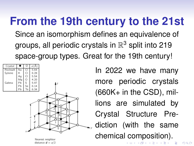# <span id="page-9-0"></span>**From the 19th century to the 21st**

Since an isomorphism defines an equivalence of groups, all periodic crystals in  $\mathbb{R}^3$  split into 219 space-group types. Great for the 19th century!



In 2022 we have many more periodic crystals  $(660K+$  in the CSD), millions are simulated by Crystal Structure Prediction (with the same chemical composition).

◆ロ→ ◆個→ ◆唐→ →唐→ →唐

 $2Q$ 

Nearest neighbor distance  $d = a/2$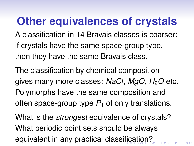# <span id="page-10-0"></span>**Other equivalences of crystals**

A classification in 14 Bravais classes is coarser: if crystals have the same space-group type, then they have the same Bravais class.

The classification by chemical composition gives many more classes: *NaCl*, *MgO*, *H*2*O* etc. Polymorphs have the same composition and often space-group type  $P_1$  of only translations.

What is the *strongest* equivalence of crystals? What periodic point sets should be always equivalent in any practical classi[fic](#page-9-0)[a](#page-11-0)[ti](#page-9-0)[o](#page-10-0)[n](#page-11-0)[?](#page-0-0)

 $2990$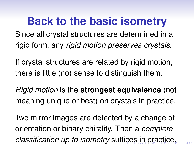<span id="page-11-0"></span>**Back to the basic isometry** Since all crystal structures are determined in a rigid form, any *rigid motion preserves crystals*.

If crystal structures are related by rigid motion, there is little (no) sense to distinguish them.

*Rigid motion* is the **strongest equivalence** (not meaning unique or best) on crystals in practice.

Two mirror images are detected by a change of orientation or binary chirality. Then a *complete classification up to isometry* suf[fic](#page-10-0)[es](#page-12-0)[in](#page-11-0)[pr](#page-0-0)[a](#page-15-0)[ct](#page-0-0)[ic](#page-15-0)[e.](#page-0-0)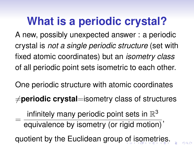# <span id="page-12-0"></span>**What is a periodic crystal?**

A new, possibly unexpected answer : a periodic crystal is *not a single periodic structure* (set with fixed atomic coordinates) but an *isometry class* of all periodic point sets isometric to each other.

One periodic structure with atomic coordinates

 $\neq$ **periodic crystal**=isometry class of structures

= infinitely many periodic point sets in  $\mathbb{R}^3$ equivalence by isometry (or rigid motion)' quotient by the Euclidean group [of](#page-11-0) [i](#page-13-0)[s](#page-11-0)[o](#page-12-0)[m](#page-13-0)[e](#page-0-0)[tr](#page-15-0)[ie](#page-0-0)[s.](#page-15-0)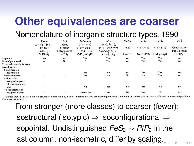#### <span id="page-13-0"></span>**Other equivalences are coarser**

#### Nomenclature of inorganic structure types, 1990

|                             | Pnma<br>$2 \times 4(c)$ , $8(d)$ -<br>$4 \times 4(c)$<br>$LuRuB -$<br>ScRhSi <sub>2</sub> | $Pa\bar{3}$<br>$4(a)$ ,<br>$8(c)$ xxx<br>FeS <sub>2</sub> (pyrite)<br>$-CO2$ | 14/mmm<br>2(a), 4(e)<br>$c/a = 2.52-$<br>$c/a = 3.30$<br>$ZrPd,-Zr,$ $Pd$ | $Ia\bar{3}d$<br>$16(a)$ , $24(c)$ ,<br>$24(d)$ , 96(h) xyz<br>$Ca3Al2Si3O1$<br>$Y_3Fe_5^{3+}O_{12}$ | $Fm\bar{3}m$<br>4(a)<br>$Cu-Ne$ | $Fm\bar{3}m$<br>4(a), 4(e)<br>NaCl-PbS | $Fm\bar{3}m$<br>4(a), 8(c)<br>$CaF2-Li2O$ | Pa3<br>$4(a), 8(c)$ xxx<br>FeS <sub>2</sub> (pyrite)<br>$-PtP2$ |
|-----------------------------|-------------------------------------------------------------------------------------------|------------------------------------------------------------------------------|---------------------------------------------------------------------------|-----------------------------------------------------------------------------------------------------|---------------------------------|----------------------------------------|-------------------------------------------|-----------------------------------------------------------------|
|                             |                                                                                           |                                                                              |                                                                           |                                                                                                     |                                 |                                        |                                           |                                                                 |
|                             |                                                                                           |                                                                              |                                                                           |                                                                                                     |                                 |                                        |                                           |                                                                 |
| Isopointal                  | No                                                                                        | Yes                                                                          | Yes                                                                       | Yes                                                                                                 | Yes                             | Yes                                    | Yes                                       | Yes                                                             |
| Isoconfigurational          |                                                                                           | No                                                                           |                                                                           | Yes                                                                                                 | Yes                             | Yes                                    | Yes                                       | Yes                                                             |
| Crystal-chemically isotypic |                                                                                           |                                                                              |                                                                           |                                                                                                     |                                 |                                        |                                           |                                                                 |
| according to                |                                                                                           |                                                                              |                                                                           |                                                                                                     |                                 |                                        |                                           |                                                                 |
| bond-strength               |                                                                                           |                                                                              |                                                                           |                                                                                                     |                                 |                                        |                                           |                                                                 |
| distribution                |                                                                                           |                                                                              | Yes                                                                       | No                                                                                                  | Yes                             | Yes                                    | Yes                                       | Yes                                                             |
| bond character              | $\overline{\phantom{a}}$                                                                  |                                                                              | Yes                                                                       | No                                                                                                  | No                              | No                                     | Yes                                       | Yes                                                             |
| radius ratios               |                                                                                           |                                                                              |                                                                           |                                                                                                     |                                 |                                        |                                           |                                                                 |
| assigned to pairs           |                                                                                           |                                                                              |                                                                           |                                                                                                     |                                 |                                        |                                           |                                                                 |
| of corresponding            |                                                                                           |                                                                              |                                                                           |                                                                                                     |                                 |                                        |                                           |                                                                 |
| sites                       |                                                                                           |                                                                              | No                                                                        | Yes                                                                                                 | Yes                             | Yes                                    | No                                        | Yes                                                             |
| electronegativities         |                                                                                           |                                                                              |                                                                           |                                                                                                     |                                 |                                        |                                           |                                                                 |
| assigned to sites           |                                                                                           |                                                                              | Nearly yes                                                                | Yes                                                                                                 | No                              | Yes                                    | No                                        | Yes                                                             |

\* Notice that in this case the two structures which have c/a ratios differing by 30% are isoconfigurational if the limit of similarity is set above 30% and non-isoconfigurational if it is set below 30%

From stronger (more classes) to coarser (fewer): isostructural (isotypic)  $\Rightarrow$  isoconfigurational  $\Rightarrow$ *isopointal.* Undistinguished *FeS*<sub>2</sub> ∼ *PtP*<sub>2</sub> in the last column: non-isometric, diffe[r b](#page-12-0)[y](#page-14-0)[sc](#page-13-0)[ali](#page-0-0)[n](#page-15-0)[g.](#page-0-0)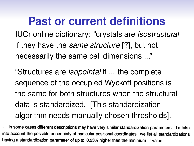<span id="page-14-0"></span>**Past or current definitions** IUCr online dictionary: "crystals are *isostructural* if they have the *same structure* [?], but not necessarily the same cell dimensions ..."

"Structures are *isopointal* if ... the complete sequence of the occupied Wyckoff positions is the same for both structures when the structural data is standardized." [This standardization algorithm needs manually chosen thresholds].

In some cases different descriptions may have very similar standardization parameters. To take into account the possible uncertainty of particular positional coordinates, we list all standardizations having a standardization parameter of up to 0.25% higher than the minimum  $\Gamma$  value.